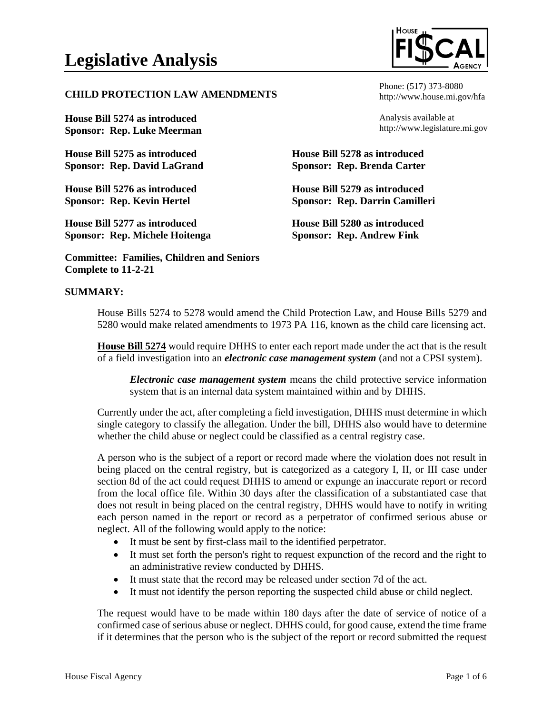#### **CHILD PROTECTION LAW AMENDMENTS**

**House Bill 5274 as introduced Sponsor: Rep. Luke Meerman**

**House Bill 5275 as introduced Sponsor: Rep. David LaGrand**

**House Bill 5276 as introduced Sponsor: Rep. Kevin Hertel**

**House Bill 5277 as introduced Sponsor: Rep. Michele Hoitenga**

**Committee: Families, Children and Seniors Complete to 11-2-21**

### **SUMMARY:**

House Bills 5274 to 5278 would amend the Child Protection Law, and House Bills 5279 and 5280 would make related amendments to 1973 PA 116, known as the child care licensing act.

**House Bill 5274** would require DHHS to enter each report made under the act that is the result of a field investigation into an *electronic case management system* (and not a CPSI system).

*Electronic case management system* means the child protective service information system that is an internal data system maintained within and by DHHS.

Currently under the act, after completing a field investigation, DHHS must determine in which single category to classify the allegation. Under the bill, DHHS also would have to determine whether the child abuse or neglect could be classified as a central registry case.

A person who is the subject of a report or record made where the violation does not result in being placed on the central registry, but is categorized as a category I, II, or III case under section 8d of the act could request DHHS to amend or expunge an inaccurate report or record from the local office file. Within 30 days after the classification of a substantiated case that does not result in being placed on the central registry, DHHS would have to notify in writing each person named in the report or record as a perpetrator of confirmed serious abuse or neglect. All of the following would apply to the notice:

- It must be sent by first-class mail to the identified perpetrator.
- It must set forth the person's right to request expunction of the record and the right to an administrative review conducted by DHHS.
- It must state that the record may be released under section 7d of the act.
- It must not identify the person reporting the suspected child abuse or child neglect.

The request would have to be made within 180 days after the date of service of notice of a confirmed case of serious abuse or neglect. DHHS could, for good cause, extend the time frame if it determines that the person who is the subject of the report or record submitted the request



Phone: (517) 373-8080 http://www.house.mi.gov/hfa

Analysis available at http://www.legislature.mi.gov

**House Bill 5278 as introduced Sponsor: Rep. Brenda Carter**

**House Bill 5279 as introduced Sponsor: Rep. Darrin Camilleri**

**House Bill 5280 as introduced Sponsor: Rep. Andrew Fink**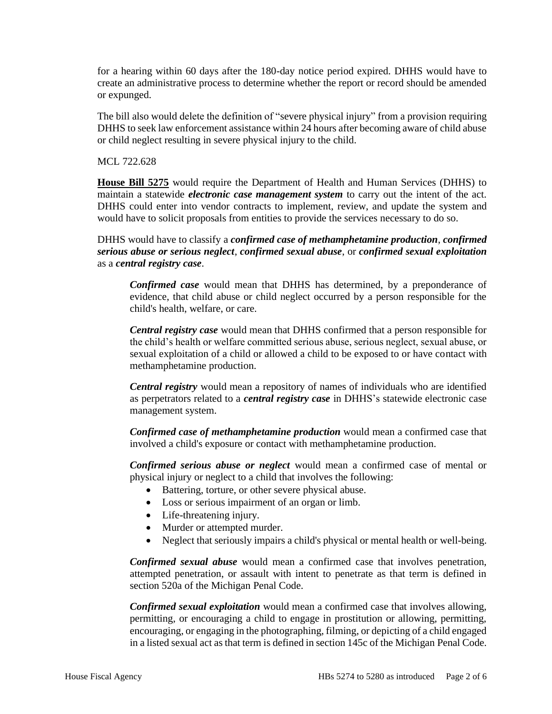for a hearing within 60 days after the 180-day notice period expired. DHHS would have to create an administrative process to determine whether the report or record should be amended or expunged.

The bill also would delete the definition of "severe physical injury" from a provision requiring DHHS to seek law enforcement assistance within 24 hours after becoming aware of child abuse or child neglect resulting in severe physical injury to the child.

MCL 722.628

**House Bill 5275** would require the Department of Health and Human Services (DHHS) to maintain a statewide *electronic case management system* to carry out the intent of the act. DHHS could enter into vendor contracts to implement, review, and update the system and would have to solicit proposals from entities to provide the services necessary to do so.

DHHS would have to classify a *confirmed case of methamphetamine production*, *confirmed serious abuse or serious neglect*, *confirmed sexual abuse*, or *confirmed sexual exploitation* as a *central registry case*.

*Confirmed case* would mean that DHHS has determined, by a preponderance of evidence, that child abuse or child neglect occurred by a person responsible for the child's health, welfare, or care.

*Central registry case* would mean that DHHS confirmed that a person responsible for the child's health or welfare committed serious abuse, serious neglect, sexual abuse, or sexual exploitation of a child or allowed a child to be exposed to or have contact with methamphetamine production.

*Central registry* would mean a repository of names of individuals who are identified as perpetrators related to a *central registry case* in DHHS's statewide electronic case management system.

*Confirmed case of methamphetamine production* would mean a confirmed case that involved a child's exposure or contact with methamphetamine production.

*Confirmed serious abuse or neglect* would mean a confirmed case of mental or physical injury or neglect to a child that involves the following:

- Battering, torture, or other severe physical abuse.
- Loss or serious impairment of an organ or limb.
- Life-threatening injury.
- Murder or attempted murder.
- Neglect that seriously impairs a child's physical or mental health or well-being.

*Confirmed sexual abuse* would mean a confirmed case that involves penetration, attempted penetration, or assault with intent to penetrate as that term is defined in section 520a of the Michigan Penal Code.

*Confirmed sexual exploitation* would mean a confirmed case that involves allowing, permitting, or encouraging a child to engage in prostitution or allowing, permitting, encouraging, or engaging in the photographing, filming, or depicting of a child engaged in a listed sexual act as that term is defined in section 145c of the Michigan Penal Code.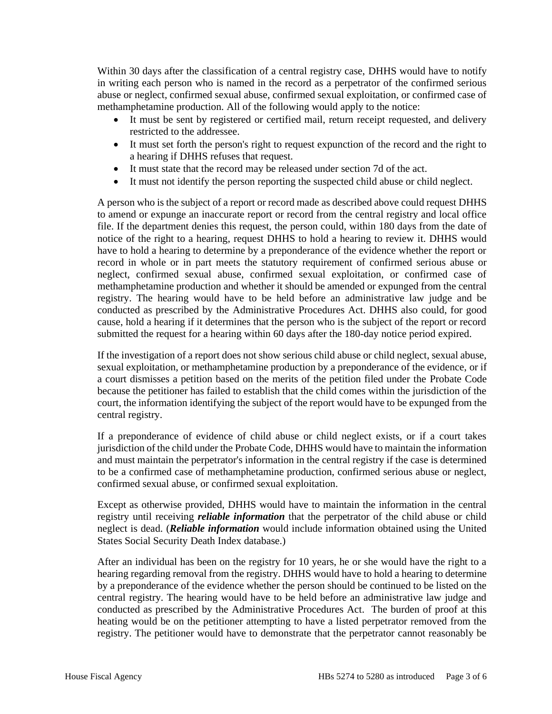Within 30 days after the classification of a central registry case, DHHS would have to notify in writing each person who is named in the record as a perpetrator of the confirmed serious abuse or neglect, confirmed sexual abuse, confirmed sexual exploitation, or confirmed case of methamphetamine production. All of the following would apply to the notice:

- It must be sent by registered or certified mail, return receipt requested, and delivery restricted to the addressee.
- It must set forth the person's right to request expunction of the record and the right to a hearing if DHHS refuses that request.
- It must state that the record may be released under section 7d of the act.
- It must not identify the person reporting the suspected child abuse or child neglect.

A person who is the subject of a report or record made as described above could request DHHS to amend or expunge an inaccurate report or record from the central registry and local office file. If the department denies this request, the person could, within 180 days from the date of notice of the right to a hearing, request DHHS to hold a hearing to review it. DHHS would have to hold a hearing to determine by a preponderance of the evidence whether the report or record in whole or in part meets the statutory requirement of confirmed serious abuse or neglect, confirmed sexual abuse, confirmed sexual exploitation, or confirmed case of methamphetamine production and whether it should be amended or expunged from the central registry. The hearing would have to be held before an administrative law judge and be conducted as prescribed by the Administrative Procedures Act. DHHS also could, for good cause, hold a hearing if it determines that the person who is the subject of the report or record submitted the request for a hearing within 60 days after the 180-day notice period expired.

If the investigation of a report does not show serious child abuse or child neglect, sexual abuse, sexual exploitation, or methamphetamine production by a preponderance of the evidence, or if a court dismisses a petition based on the merits of the petition filed under the Probate Code because the petitioner has failed to establish that the child comes within the jurisdiction of the court, the information identifying the subject of the report would have to be expunged from the central registry.

If a preponderance of evidence of child abuse or child neglect exists, or if a court takes jurisdiction of the child under the Probate Code, DHHS would have to maintain the information and must maintain the perpetrator's information in the central registry if the case is determined to be a confirmed case of methamphetamine production, confirmed serious abuse or neglect, confirmed sexual abuse, or confirmed sexual exploitation.

Except as otherwise provided, DHHS would have to maintain the information in the central registry until receiving *reliable information* that the perpetrator of the child abuse or child neglect is dead. (*Reliable information* would include information obtained using the United States Social Security Death Index database.)

After an individual has been on the registry for 10 years, he or she would have the right to a hearing regarding removal from the registry. DHHS would have to hold a hearing to determine by a preponderance of the evidence whether the person should be continued to be listed on the central registry. The hearing would have to be held before an administrative law judge and conducted as prescribed by the Administrative Procedures Act. The burden of proof at this heating would be on the petitioner attempting to have a listed perpetrator removed from the registry. The petitioner would have to demonstrate that the perpetrator cannot reasonably be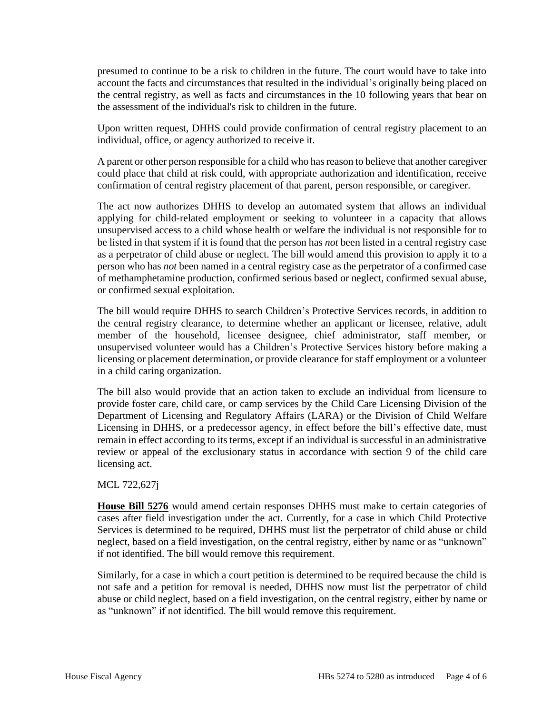presumed to continue to be a risk to children in the future. The court would have to take into account the facts and circumstances that resulted in the individual's originally being placed on the central registry, as well as facts and circumstances in the 10 following years that bear on the assessment of the individual's risk to children in the future.

Upon written request, DHHS could provide confirmation of central registry placement to an individual, office, or agency authorized to receive it.

A parent or other person responsible for a child who has reason to believe that another caregiver could place that child at risk could, with appropriate authorization and identification, receive confirmation of central registry placement of that parent, person responsible, or caregiver.

The act now authorizes DHHS to develop an automated system that allows an individual applying for child-related employment or seeking to volunteer in a capacity that allows unsupervised access to a child whose health or welfare the individual is not responsible for to be listed in that system if it is found that the person has *not* been listed in a central registry case as a perpetrator of child abuse or neglect. The bill would amend this provision to apply it to a person who has *not* been named in a central registry case as the perpetrator of a confirmed case of methamphetamine production, confirmed serious based or neglect, confirmed sexual abuse, or confirmed sexual exploitation.

The bill would require DHHS to search Children's Protective Services records, in addition to the central registry clearance, to determine whether an applicant or licensee, relative, adult member of the household, licensee designee, chief administrator, staff member, or unsupervised volunteer would has a Children's Protective Services history before making a licensing or placement determination, or provide clearance for staff employment or a volunteer in a child caring organization.

The bill also would provide that an action taken to exclude an individual from licensure to provide foster care, child care, or camp services by the Child Care Licensing Division of the Department of Licensing and Regulatory Affairs (LARA) or the Division of Child Welfare Licensing in DHHS, or a predecessor agency, in effect before the bill's effective date, must remain in effect according to its terms, except if an individual is successful in an administrative review or appeal of the exclusionary status in accordance with section 9 of the child care licensing act.

#### MCL 722,627j

**House Bill 5276** would amend certain responses DHHS must make to certain categories of cases after field investigation under the act. Currently, for a case in which Child Protective Services is determined to be required, DHHS must list the perpetrator of child abuse or child neglect, based on a field investigation, on the central registry, either by name or as "unknown" if not identified. The bill would remove this requirement.

Similarly, for a case in which a court petition is determined to be required because the child is not safe and a petition for removal is needed, DHHS now must list the perpetrator of child abuse or child neglect, based on a field investigation, on the central registry, either by name or as "unknown" if not identified. The bill would remove this requirement.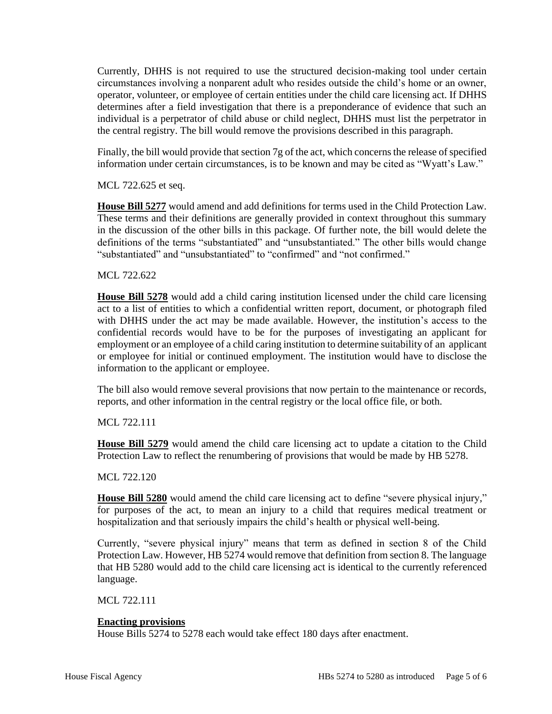Currently, DHHS is not required to use the structured decision-making tool under certain circumstances involving a nonparent adult who resides outside the child's home or an owner, operator, volunteer, or employee of certain entities under the child care licensing act. If DHHS determines after a field investigation that there is a preponderance of evidence that such an individual is a perpetrator of child abuse or child neglect, DHHS must list the perpetrator in the central registry. The bill would remove the provisions described in this paragraph.

Finally, the bill would provide that section 7g of the act, which concerns the release of specified information under certain circumstances, is to be known and may be cited as "Wyatt's Law."

MCL 722.625 et seq.

**House Bill 5277** would amend and add definitions for terms used in the Child Protection Law. These terms and their definitions are generally provided in context throughout this summary in the discussion of the other bills in this package. Of further note, the bill would delete the definitions of the terms "substantiated" and "unsubstantiated." The other bills would change "substantiated" and "unsubstantiated" to "confirmed" and "not confirmed."

MCL 722.622

**House Bill 5278** would add a child caring institution licensed under the child care licensing act to a list of entities to which a confidential written report, document, or photograph filed with DHHS under the act may be made available. However, the institution's access to the confidential records would have to be for the purposes of investigating an applicant for employment or an employee of a child caring institution to determine suitability of an applicant or employee for initial or continued employment. The institution would have to disclose the information to the applicant or employee.

The bill also would remove several provisions that now pertain to the maintenance or records, reports, and other information in the central registry or the local office file, or both.

MCL 722.111

**House Bill 5279** would amend the child care licensing act to update a citation to the Child Protection Law to reflect the renumbering of provisions that would be made by HB 5278.

MCL 722.120

**House Bill 5280** would amend the child care licensing act to define "severe physical injury," for purposes of the act, to mean an injury to a child that requires medical treatment or hospitalization and that seriously impairs the child's health or physical well-being.

Currently, "severe physical injury" means that term as defined in section 8 of the Child Protection Law. However, HB 5274 would remove that definition from section 8. The language that HB 5280 would add to the child care licensing act is identical to the currently referenced language.

MCL 722.111

# **Enacting provisions**

House Bills 5274 to 5278 each would take effect 180 days after enactment.